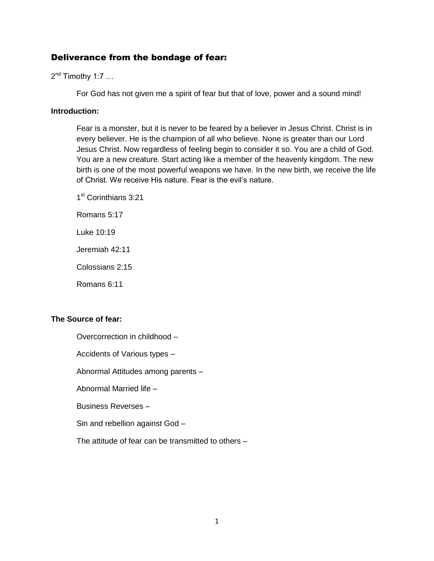# Deliverance from the bondage of fear:

 $2^{nd}$  Timothy 1:7 ...

For God has not given me a spirit of fear but that of love, power and a sound mind!

#### **Introduction:**

Fear is a monster, but it is never to be feared by a believer in Jesus Christ. Christ is in every believer. He is the champion of all who believe. None is greater than our Lord Jesus Christ. Now regardless of feeling begin to consider it so. You are a child of God. You are a new creature. Start acting like a member of the heavenly kingdom. The new birth is one of the most powerful weapons we have. In the new birth, we receive the life of Christ. We receive His nature. Fear is the evil's nature.

1<sup>st</sup> Corinthians 3:21

Romans 5:17

Luke 10:19

Jeremiah 42:11

Colossians 2:15

Romans 6:11

### **The Source of fear:**

Overcorrection in childhood –

Accidents of Various types –

Abnormal Attitudes among parents –

Abnormal Married life –

Business Reverses –

Sin and rebellion against God –

The attitude of fear can be transmitted to others –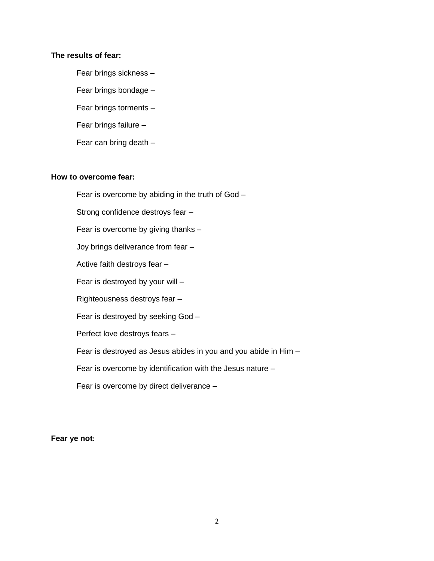#### **The results of fear:**

Fear brings sickness – Fear brings bondage – Fear brings torments – Fear brings failure – Fear can bring death –

#### **How to overcome fear:**

Fear is overcome by abiding in the truth of God –

Strong confidence destroys fear –

Fear is overcome by giving thanks –

Joy brings deliverance from fear –

Active faith destroys fear –

Fear is destroyed by your will –

Righteousness destroys fear –

Fear is destroyed by seeking God –

Perfect love destroys fears –

Fear is destroyed as Jesus abides in you and you abide in Him –

Fear is overcome by identification with the Jesus nature –

Fear is overcome by direct deliverance –

**Fear ye not:**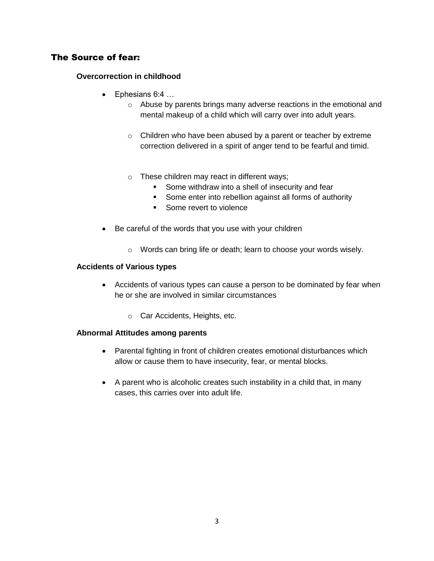# The Source of fear:

### **Overcorrection in childhood**

- Ephesians 6:4 …
	- o Abuse by parents brings many adverse reactions in the emotional and mental makeup of a child which will carry over into adult years.
	- o Children who have been abused by a parent or teacher by extreme correction delivered in a spirit of anger tend to be fearful and timid.
	- o These children may react in different ways;
		- **Some withdraw into a shell of insecurity and fear**
		- **Some enter into rebellion against all forms of authority**
		- Some revert to violence
- Be careful of the words that you use with your children
	- o Words can bring life or death; learn to choose your words wisely.

#### **Accidents of Various types**

- Accidents of various types can cause a person to be dominated by fear when he or she are involved in similar circumstances
	- o Car Accidents, Heights, etc.

#### **Abnormal Attitudes among parents**

- Parental fighting in front of children creates emotional disturbances which allow or cause them to have insecurity, fear, or mental blocks.
- A parent who is alcoholic creates such instability in a child that, in many cases, this carries over into adult life.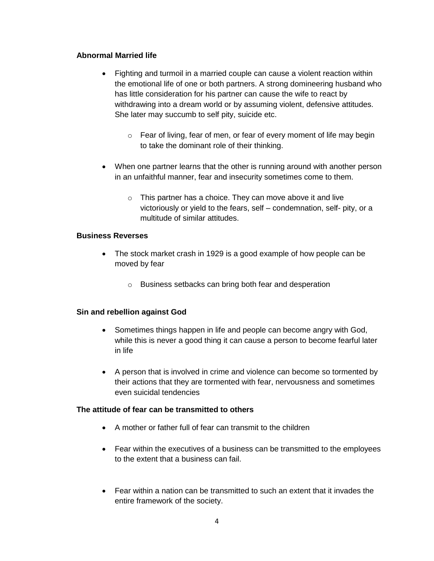### **Abnormal Married life**

- Fighting and turmoil in a married couple can cause a violent reaction within the emotional life of one or both partners. A strong domineering husband who has little consideration for his partner can cause the wife to react by withdrawing into a dream world or by assuming violent, defensive attitudes. She later may succumb to self pity, suicide etc.
	- $\circ$  Fear of living, fear of men, or fear of every moment of life may begin to take the dominant role of their thinking.
- When one partner learns that the other is running around with another person in an unfaithful manner, fear and insecurity sometimes come to them.
	- o This partner has a choice. They can move above it and live victoriously or yield to the fears, self – condemnation, self- pity, or a multitude of similar attitudes.

### **Business Reverses**

- The stock market crash in 1929 is a good example of how people can be moved by fear
	- o Business setbacks can bring both fear and desperation

# **Sin and rebellion against God**

- Sometimes things happen in life and people can become angry with God, while this is never a good thing it can cause a person to become fearful later in life
- A person that is involved in crime and violence can become so tormented by their actions that they are tormented with fear, nervousness and sometimes even suicidal tendencies

### **The attitude of fear can be transmitted to others**

- A mother or father full of fear can transmit to the children
- Fear within the executives of a business can be transmitted to the employees to the extent that a business can fail.
- Fear within a nation can be transmitted to such an extent that it invades the entire framework of the society.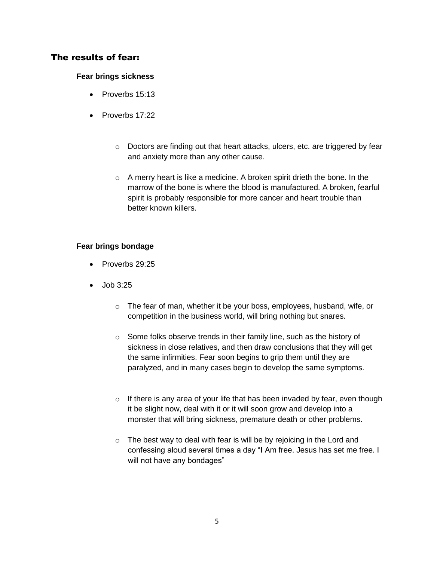# The results of fear:

### **Fear brings sickness**

- Proverbs 15:13
- $\bullet$  Proverbs 17:22
	- o Doctors are finding out that heart attacks, ulcers, etc. are triggered by fear and anxiety more than any other cause.
	- $\circ$  A merry heart is like a medicine. A broken spirit drieth the bone. In the marrow of the bone is where the blood is manufactured. A broken, fearful spirit is probably responsible for more cancer and heart trouble than better known killers.

### **Fear brings bondage**

- Proverbs 29:25
- $\bullet$  Job 3:25
	- o The fear of man, whether it be your boss, employees, husband, wife, or competition in the business world, will bring nothing but snares.
	- o Some folks observe trends in their family line, such as the history of sickness in close relatives, and then draw conclusions that they will get the same infirmities. Fear soon begins to grip them until they are paralyzed, and in many cases begin to develop the same symptoms.
	- $\circ$  If there is any area of your life that has been invaded by fear, even though it be slight now, deal with it or it will soon grow and develop into a monster that will bring sickness, premature death or other problems.
	- o The best way to deal with fear is will be by rejoicing in the Lord and confessing aloud several times a day "I Am free. Jesus has set me free. I will not have any bondages"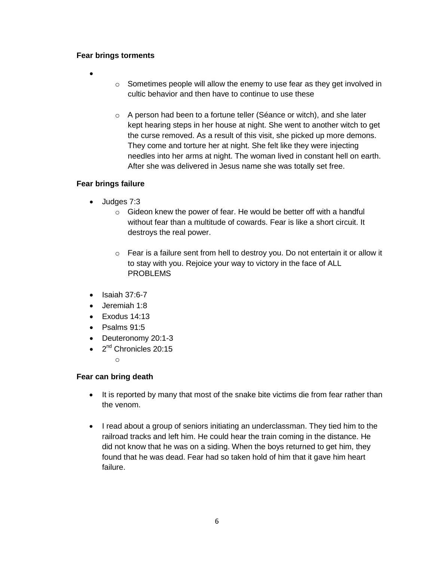#### **Fear brings torments**

- $\bullet$
- $\circ$  Sometimes people will allow the enemy to use fear as they get involved in cultic behavior and then have to continue to use these
- o A person had been to a fortune teller (Séance or witch), and she later kept hearing steps in her house at night. She went to another witch to get the curse removed. As a result of this visit, she picked up more demons. They come and torture her at night. She felt like they were injecting needles into her arms at night. The woman lived in constant hell on earth. After she was delivered in Jesus name she was totally set free.

### **Fear brings failure**

- Judges 7:3
	- o Gideon knew the power of fear. He would be better off with a handful without fear than a multitude of cowards. Fear is like a short circuit. It destroys the real power.
	- o Fear is a failure sent from hell to destroy you. Do not entertain it or allow it to stay with you. Rejoice your way to victory in the face of ALL PROBLEMS
- $\bullet$  Isaiah 37:6-7
- Jeremiah 1:8
- $\bullet$  Exodus 14:13
- $\bullet$  Psalms 91:5
- Deuteronomy 20:1-3
- 2<sup>nd</sup> Chronicles 20:15

o

### **Fear can bring death**

- It is reported by many that most of the snake bite victims die from fear rather than the venom.
- I read about a group of seniors initiating an underclassman. They tied him to the railroad tracks and left him. He could hear the train coming in the distance. He did not know that he was on a siding. When the boys returned to get him, they found that he was dead. Fear had so taken hold of him that it gave him heart failure.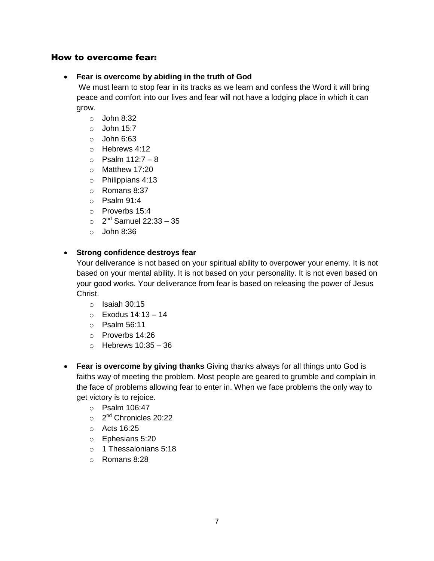# How to overcome fear:

#### **Fear is overcome by abiding in the truth of God**

We must learn to stop fear in its tracks as we learn and confess the Word it will bring peace and comfort into our lives and fear will not have a lodging place in which it can grow.

- $\circ$  John 8:32
- $\circ$  John 15:7
- $\circ$  John 6:63
- o Hebrews 4:12
- $\circ$  Psalm 112:7 8
- o Matthew 17:20
- o Philippians 4:13
- o Romans 8:37
- $\circ$  Psalm 91:4
- o Proverbs 15:4
- $\circ$  2<sup>nd</sup> Samuel 22:33 35
- $\circ$  John 8:36

### **Strong confidence destroys fear**

Your deliverance is not based on your spiritual ability to overpower your enemy. It is not based on your mental ability. It is not based on your personality. It is not even based on your good works. Your deliverance from fear is based on releasing the power of Jesus Christ.

- $\circ$  Isaiah 30:15
- o Exodus 14:13 14
- o Psalm 56:11
- o Proverbs 14:26
- $\circ$  Hebrews 10:35 36
- **Fear is overcome by giving thanks** Giving thanks always for all things unto God is faiths way of meeting the problem. Most people are geared to grumble and complain in the face of problems allowing fear to enter in. When we face problems the only way to get victory is to rejoice.
	- o Psalm 106:47
	- o 2<sup>nd</sup> Chronicles 20:22
	- o Acts 16:25
	- o Ephesians 5:20
	- o 1 Thessalonians 5:18
	- o Romans 8:28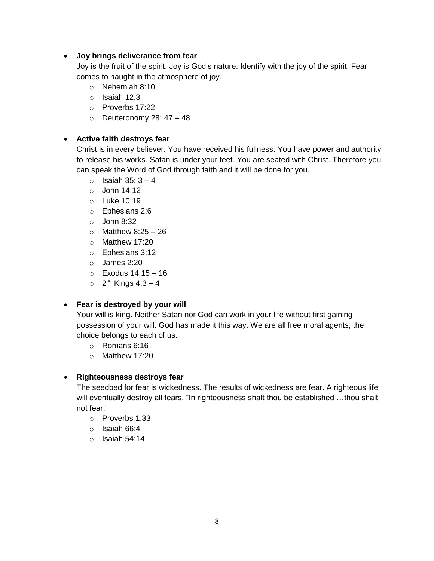### **Joy brings deliverance from fear**

Joy is the fruit of the spirit. Joy is God's nature. Identify with the joy of the spirit. Fear comes to naught in the atmosphere of joy.

- o Nehemiah 8:10
- o Isaiah 12:3
- o Proverbs 17:22
- $\circ$  Deuteronomy 28: 47 48

## **Active faith destroys fear**

Christ is in every believer. You have received his fullness. You have power and authority to release his works. Satan is under your feet. You are seated with Christ. Therefore you can speak the Word of God through faith and it will be done for you.

- $\circ$  Isaiah 35: 3 4
- o John 14:12
- o Luke 10:19
- o Ephesians 2:6
- $\circ$  John 8:32
- $\circ$  Matthew 8:25 26
- o Matthew 17:20
- o Ephesians 3:12
- o James 2:20
- $\circ$  Exodus 14:15 16
- $\circ$  2<sup>nd</sup> Kings 4:3 4

# **Fear is destroyed by your will**

Your will is king. Neither Satan nor God can work in your life without first gaining possession of your will. God has made it this way. We are all free moral agents; the choice belongs to each of us.

- o Romans 6:16
- o Matthew 17:20

# **Righteousness destroys fear**

The seedbed for fear is wickedness. The results of wickedness are fear. A righteous life will eventually destroy all fears. "In righteousness shalt thou be established ...thou shalt not fear."

- o Proverbs 1:33
- o Isaiah 66:4
- $\circ$  Isaiah 54:14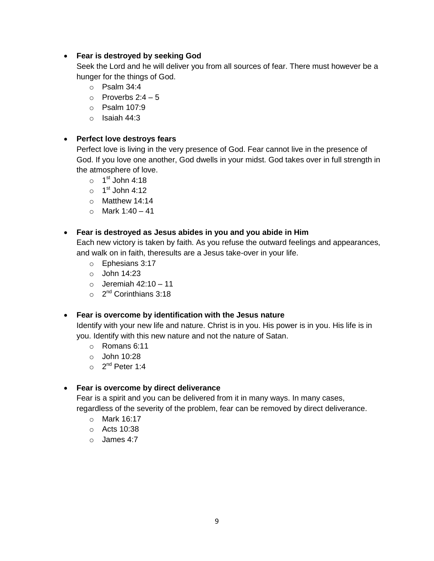### **Fear is destroyed by seeking God**

Seek the Lord and he will deliver you from all sources of fear. There must however be a hunger for the things of God.

- $\circ$  Psalm 34:4
- $\circ$  Proverbs 2:4 5
- o Psalm 107:9
- o Isaiah 44:3

## **Perfect love destroys fears**

Perfect love is living in the very presence of God. Fear cannot live in the presence of God. If you love one another, God dwells in your midst. God takes over in full strength in the atmosphere of love.

- $\circ$  1st John 4:18
- $\circ$  1<sup>st</sup> John 4:12
- o Matthew 14:14
- $\circ$  Mark 1:40 41

### **Fear is destroyed as Jesus abides in you and you abide in Him**

Each new victory is taken by faith. As you refuse the outward feelings and appearances, and walk on in faith, theresults are a Jesus take-over in your life.

- o Ephesians 3:17
- o John 14:23
- $\circ$  Jeremiah 42:10 11
- o 2<sup>nd</sup> Corinthians 3:18

### **Fear is overcome by identification with the Jesus nature**

Identify with your new life and nature. Christ is in you. His power is in you. His life is in you. Identify with this new nature and not the nature of Satan.

- o Romans 6:11
- o John 10:28
- o 2<sup>nd</sup> Peter 1:4

### **Fear is overcome by direct deliverance**

Fear is a spirit and you can be delivered from it in many ways. In many cases, regardless of the severity of the problem, fear can be removed by direct deliverance.

- o Mark 16:17
- o Acts 10:38
- $\circ$  James 4.7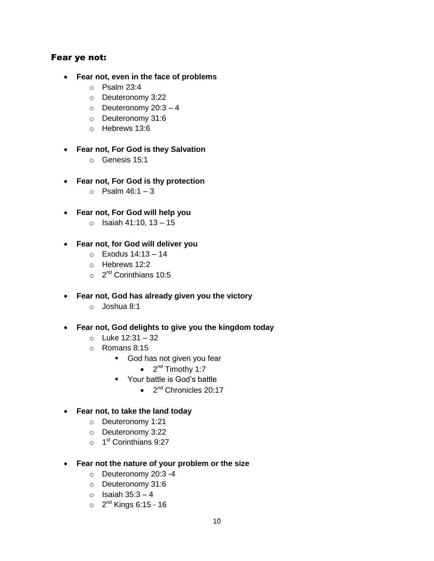# Fear ye not:

- **Fear not, even in the face of problems** 
	- o Psalm 23:4
	- o Deuteronomy 3:22
	- $\circ$  Deuteronomy 20:3 4
	- o Deuteronomy 31:6
	- o Hebrews 13:6
- **Fear not, For God is they Salvation**
	- o Genesis 15:1
- **Fear not, For God is thy protection**
	- $\circ$  Psalm 46:1 3
- **Fear not, For God will help you**
	- $\circ$  Isaiah 41:10, 13 15
- **Fear not, for God will deliver you**
	- o Exodus 14:13 14
	- o Hebrews 12:2
	- $\circ$  2<sup>nd</sup> Corinthians 10:5
- **Fear not, God has already given you the victory**
	- o Joshua 8:1
- **Fear not, God delights to give you the kingdom today**
	- o Luke 12:31 32
	- o Romans 8:15
		- **God has not given you fear** 
			- $\bullet$  2<sup>nd</sup> Timothy 1:7
		- **•** Your battle is God's battle
			- $\bullet$   $2^{nd}$  Chronicles 20:17
- **Fear not, to take the land today**
	- o Deuteronomy 1:21
	- o Deuteronomy 3:22
	- o 1<sup>st</sup> Corinthians 9:27
- **Fear not the nature of your problem or the size**
	- o Deuteronomy 20:3 -4
	- o Deuteronomy 31:6
	- $\circ$  Isaiah 35:3 4
	- o 2<sup>nd</sup> Kings 6:15 16